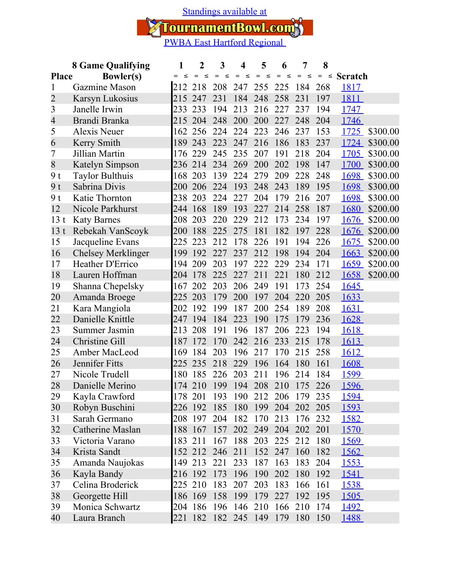[Standings available at](https://tournamentbowl.com/Open/standings_custom.cfm?id_event=5669&id_tournament=1705)

TournamentBowl.com

|                                  | <b>8 Game Qualifying</b>  | 1      | $\overline{2}$ | 3             | 4             | 5             | 6             | 7             | 8             |                |          |
|----------------------------------|---------------------------|--------|----------------|---------------|---------------|---------------|---------------|---------------|---------------|----------------|----------|
| <b>Bowler(s)</b><br><b>Place</b> |                           | $\leq$ | $\leq$<br>$=$  | $=$<br>$\leq$ | $\leq$<br>$=$ | $\leq$<br>$=$ | $\leq$<br>$=$ | $\leq$<br>$=$ | $=$<br>$\leq$ | <b>Scratch</b> |          |
| 1                                | Gazmine Mason             | 212    | 218            | 208           | 247           | 255           | 225           | 184           | 268           | 1817           |          |
| $\overline{2}$                   | Karsyn Lukosius           | 215    | 247            | 231           | 184           | 248           | 258           | 231           | 197           | 1811           |          |
| 3                                | Janelle Irwin             | 233    | 233            | 194           | 213           | 216           | 227           | 237           | 194           | <u>1747</u>    |          |
| $\overline{4}$                   | Brandi Branka             | 215    | 204            | 248           | 200           | 200           | 227           | 248           | 204           | 1746           |          |
| 5                                | Alexis Neuer              | 162    | 256            | 224           | 224           | 223           | 246           | 237           | 153           | 1725           | \$300.00 |
| 6                                | Kerry Smith               | 189    | 243            | 223           | 247           | 216           | 186           | 183           | 237           | 1724           | \$300.00 |
| 7                                | Jillian Martin            | 176    | 229            | 245           | 235           | 207           | 191           | 218           | 204           | 1705           | \$300.00 |
| 8                                | Katelyn Simpson           | 236    | 214            | 234           | 269           | 200           | 202           | 198           | 147           | 1700           | \$300.00 |
| 9 t                              | <b>Taylor Bulthuis</b>    | 168    | 203            | 139           | 224           | 279           | 209           | 228           | 248           | 1698           | \$300.00 |
| 9 <sub>t</sub>                   | Sabrina Divis             | 200    | 206            | 224           | 193           | 248           | 243           | 189           | 195           | 1698           | \$300.00 |
| 9 t                              | Katie Thornton            | 238    | 203            | 224           | 227           | 204           | 179           | 216           | 207           | 1698           | \$300.00 |
| 12                               | Nicole Parkhurst          | 244    | 168            | 189           | 193           | 227           | 214           | 258           | 187           | 1680           | \$200.00 |
| 13 <sub>t</sub>                  | <b>Katy Barnes</b>        | 208    | 203            | 220           | 229           | 212           | 173           | 234           | 197           | 1676           | \$200.00 |
| 13 <sub>t</sub>                  | Rebekah VanScoyk          | 200    | 188            | 225           | 275           | 181           | 182           | 197           | 228           | 1676           | \$200.00 |
| 15                               | Jacqueline Evans          | 225    | 223            | 212           | 178           | 226           | 191           | 194           | 226           | 1675           | \$200.00 |
| 16                               | <b>Chelsey Merklinger</b> | 199    | 192            | 227           | 237           | 212           | 198           | 194           | 204           | 1663           | \$200.00 |
| 17                               | Heather D'Errico          | 194    | 209            | 203           | 197           | 222           | 229           | 234           | 171           | <u>1659</u>    | \$200.00 |
| 18                               | Lauren Hoffman            | 204    | 178            | 225           | 227           | 211           | 221           | 180           | 212           | 1658           | \$200.00 |
| 19                               | Shanna Chepelsky          | 167    | 202            | 203           | 206           | 249           | 191           | 173           | 254           | <u>1645</u>    |          |
| 20                               | Amanda Broege             | 225    | 203            | 179           | 200           | 197           | 204           | 220           | 205           | 1633           |          |
| 21                               | Kara Mangiola             | 202    | 192            | 199           | 187           | 200           | 254           | 189           | 208           | <u>1631</u>    |          |
| 22                               | Danielle Knittle          | 247    | 194            | 184           | 223           | 190           | 175           | 179           | 236           | 1628           |          |
| 23                               | Summer Jasmin             | 213    | 208            | 191           | 196           | 187           | 206           | 223           | 194           | 1618           |          |
| 24                               | <b>Christine Gill</b>     | 187    | 172            | 170           | 242           | 216           | 233           | 215           | 178           | 1613           |          |
| 25                               | Amber MacLeod             | 169    | 184            | 203           | 196           | 217           | 170           | 215           | 258           | 1612           |          |
| 26                               | Jennifer Fitts            | 225    | 235            | 218           | 229           | 196           | 164           | 180           | 161           | 1608           |          |
| 27                               | Nicole Trudell            | 180    | 185            | 226           | 203           | 211           | 196           | 214           | 184           | 1599           |          |
| 28                               | Danielle Merino           | 174    | 210            | 199           | 194           | 208           | 210           | 175           | 226           | 1596           |          |
| 29                               | Kayla Crawford            |        | 178 201        | 193           | 190           | 212 206       |               | 179 235       |               | <u>1594</u>    |          |
| 30                               | Robyn Buschini            |        | 226 192        | 185           | 180           | 199           | 204           | 202 205       |               | 1593           |          |
| 31                               | Sarah Germano             |        | 208 197        | 204           | 182           | 170           | 213           | 176           | 232           | <u>1582</u>    |          |
| 32                               | Catherine Maslan          |        | 188 167        | 157           | 202           | 249           | 204           | 202           | 201           | 1570           |          |
| 33                               | Victoria Varano           |        | 183 211        | 167           | 188           | 203           | 225           | 212           | 180           | <u>1569</u>    |          |
| 34                               | Krista Sandt              |        | 152 212        | 246           | 211           | 152           | 247           | 160           | 182           | 1562           |          |
| 35                               | Amanda Naujokas           |        | 149 213        | 221           | 233           | 187           | 163           | 183           | 204           | <u>1553</u>    |          |
| 36                               | Kayla Bandy               |        | 216 192        | 173           | 196           | 190           | 202           | 180           | 192           | 1541           |          |
| 37                               | Celina Broderick          |        | 225 210        | 183           | 207           | 203           | 183           | 166           | 161           | 1538           |          |
| 38                               | Georgette Hill            |        | 186 169        | 158           | 199           | 179           | 227           | 192           | 195           | <u>1505</u>    |          |
| 39                               | Monica Schwartz           |        | 204 186        | 196           | 146           | 210           | 166           | 210           | 174           | 1492           |          |
| 40                               | Laura Branch              |        | 221 182        | 182           | 245 149       |               | 179           | 180           | 150           | 1488           |          |